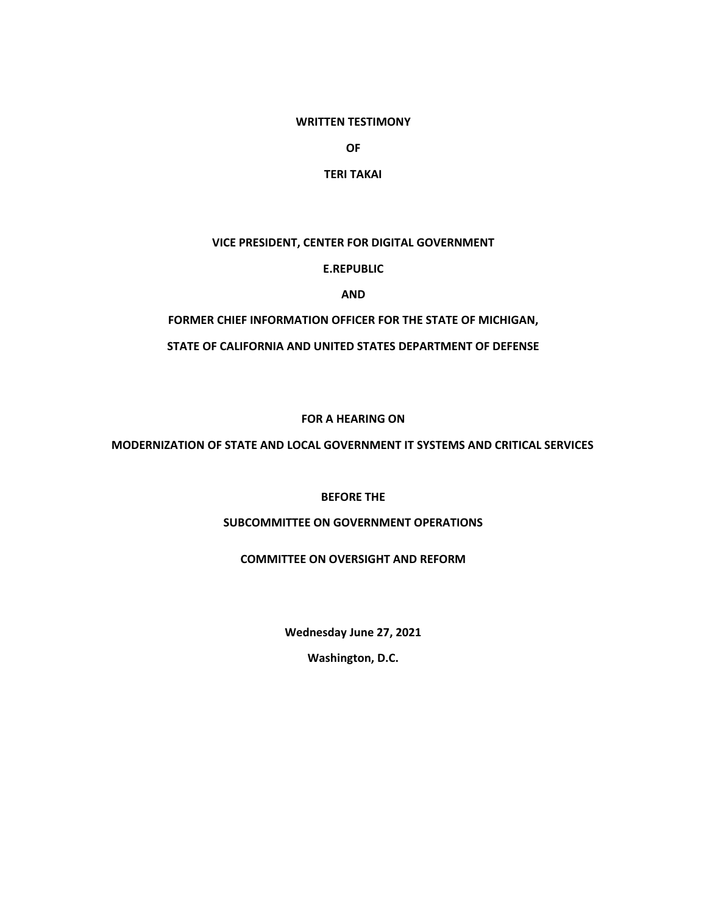## **WRITTEN TESTIMONY**

**OF**

## **TERI TAKAI**

# **VICE PRESIDENT, CENTER FOR DIGITAL GOVERNMENT**

**E.REPUBLIC**

**AND**

## **FORMER CHIEF INFORMATION OFFICER FOR THE STATE OF MICHIGAN,**

## **STATE OF CALIFORNIA AND UNITED STATES DEPARTMENT OF DEFENSE**

## **FOR A HEARING ON**

## **MODERNIZATION OF STATE AND LOCAL GOVERNMENT IT SYSTEMS AND CRITICAL SERVICES**

## **BEFORE THE**

## **SUBCOMMITTEE ON GOVERNMENT OPERATIONS**

## **COMMITTEE ON OVERSIGHT AND REFORM**

**Wednesday June 27, 2021**

**Washington, D.C.**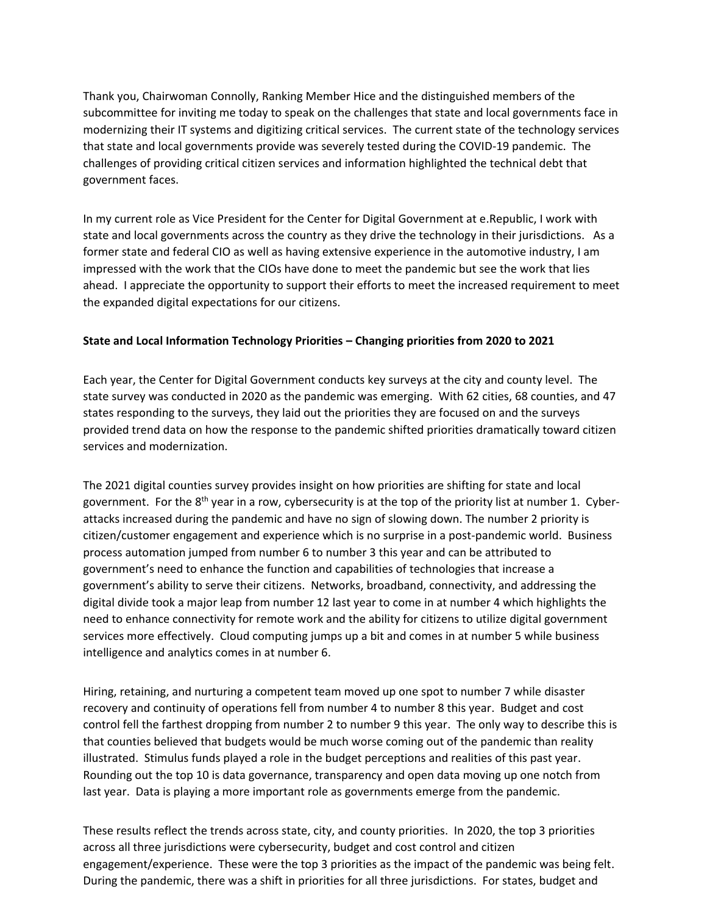Thank you, Chairwoman Connolly, Ranking Member Hice and the distinguished members of the subcommittee for inviting me today to speak on the challenges that state and local governments face in modernizing their IT systems and digitizing critical services. The current state of the technology services that state and local governments provide was severely tested during the COVID-19 pandemic. The challenges of providing critical citizen services and information highlighted the technical debt that government faces.

In my current role as Vice President for the Center for Digital Government at e.Republic, I work with state and local governments across the country as they drive the technology in their jurisdictions. As a former state and federal CIO as well as having extensive experience in the automotive industry, I am impressed with the work that the CIOs have done to meet the pandemic but see the work that lies ahead. I appreciate the opportunity to support their efforts to meet the increased requirement to meet the expanded digital expectations for our citizens.

## **State and Local Information Technology Priorities – Changing priorities from 2020 to 2021**

Each year, the Center for Digital Government conducts key surveys at the city and county level. The state survey was conducted in 2020 as the pandemic was emerging. With 62 cities, 68 counties, and 47 states responding to the surveys, they laid out the priorities they are focused on and the surveys provided trend data on how the response to the pandemic shifted priorities dramatically toward citizen services and modernization.

The 2021 digital counties survey provides insight on how priorities are shifting for state and local government. For the 8<sup>th</sup> year in a row, cybersecurity is at the top of the priority list at number 1. Cyberattacks increased during the pandemic and have no sign of slowing down. The number 2 priority is citizen/customer engagement and experience which is no surprise in a post-pandemic world. Business process automation jumped from number 6 to number 3 this year and can be attributed to government's need to enhance the function and capabilities of technologies that increase a government's ability to serve their citizens. Networks, broadband, connectivity, and addressing the digital divide took a major leap from number 12 last year to come in at number 4 which highlights the need to enhance connectivity for remote work and the ability for citizens to utilize digital government services more effectively. Cloud computing jumps up a bit and comes in at number 5 while business intelligence and analytics comes in at number 6.

Hiring, retaining, and nurturing a competent team moved up one spot to number 7 while disaster recovery and continuity of operations fell from number 4 to number 8 this year. Budget and cost control fell the farthest dropping from number 2 to number 9 this year. The only way to describe this is that counties believed that budgets would be much worse coming out of the pandemic than reality illustrated. Stimulus funds played a role in the budget perceptions and realities of this past year. Rounding out the top 10 is data governance, transparency and open data moving up one notch from last year. Data is playing a more important role as governments emerge from the pandemic.

These results reflect the trends across state, city, and county priorities. In 2020, the top 3 priorities across all three jurisdictions were cybersecurity, budget and cost control and citizen engagement/experience. These were the top 3 priorities as the impact of the pandemic was being felt. During the pandemic, there was a shift in priorities for all three jurisdictions. For states, budget and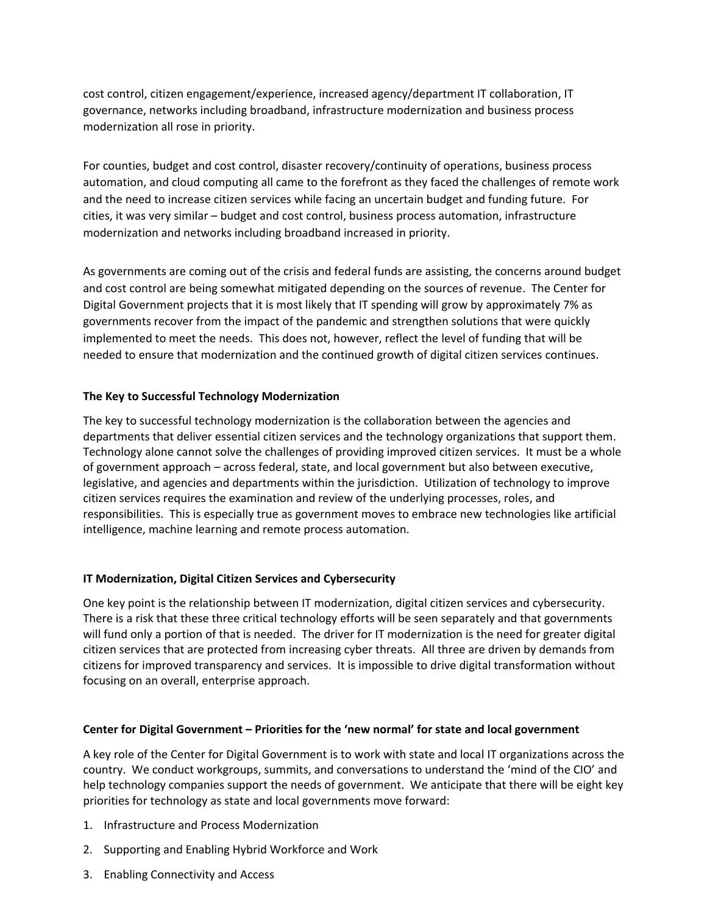cost control, citizen engagement/experience, increased agency/department IT collaboration, IT governance, networks including broadband, infrastructure modernization and business process modernization all rose in priority.

For counties, budget and cost control, disaster recovery/continuity of operations, business process automation, and cloud computing all came to the forefront as they faced the challenges of remote work and the need to increase citizen services while facing an uncertain budget and funding future. For cities, it was very similar – budget and cost control, business process automation, infrastructure modernization and networks including broadband increased in priority.

As governments are coming out of the crisis and federal funds are assisting, the concerns around budget and cost control are being somewhat mitigated depending on the sources of revenue. The Center for Digital Government projects that it is most likely that IT spending will grow by approximately 7% as governments recover from the impact of the pandemic and strengthen solutions that were quickly implemented to meet the needs. This does not, however, reflect the level of funding that will be needed to ensure that modernization and the continued growth of digital citizen services continues.

## **The Key to Successful Technology Modernization**

The key to successful technology modernization is the collaboration between the agencies and departments that deliver essential citizen services and the technology organizations that support them. Technology alone cannot solve the challenges of providing improved citizen services. It must be a whole of government approach – across federal, state, and local government but also between executive, legislative, and agencies and departments within the jurisdiction. Utilization of technology to improve citizen services requires the examination and review of the underlying processes, roles, and responsibilities. This is especially true as government moves to embrace new technologies like artificial intelligence, machine learning and remote process automation.

## **IT Modernization, Digital Citizen Services and Cybersecurity**

One key point is the relationship between IT modernization, digital citizen services and cybersecurity. There is a risk that these three critical technology efforts will be seen separately and that governments will fund only a portion of that is needed. The driver for IT modernization is the need for greater digital citizen services that are protected from increasing cyber threats. All three are driven by demands from citizens for improved transparency and services. It is impossible to drive digital transformation without focusing on an overall, enterprise approach.

## **Center for Digital Government – Priorities for the 'new normal' for state and local government**

A key role of the Center for Digital Government is to work with state and local IT organizations across the country. We conduct workgroups, summits, and conversations to understand the 'mind of the CIO' and help technology companies support the needs of government. We anticipate that there will be eight key priorities for technology as state and local governments move forward:

- 1. Infrastructure and Process Modernization
- 2. Supporting and Enabling Hybrid Workforce and Work
- 3. Enabling Connectivity and Access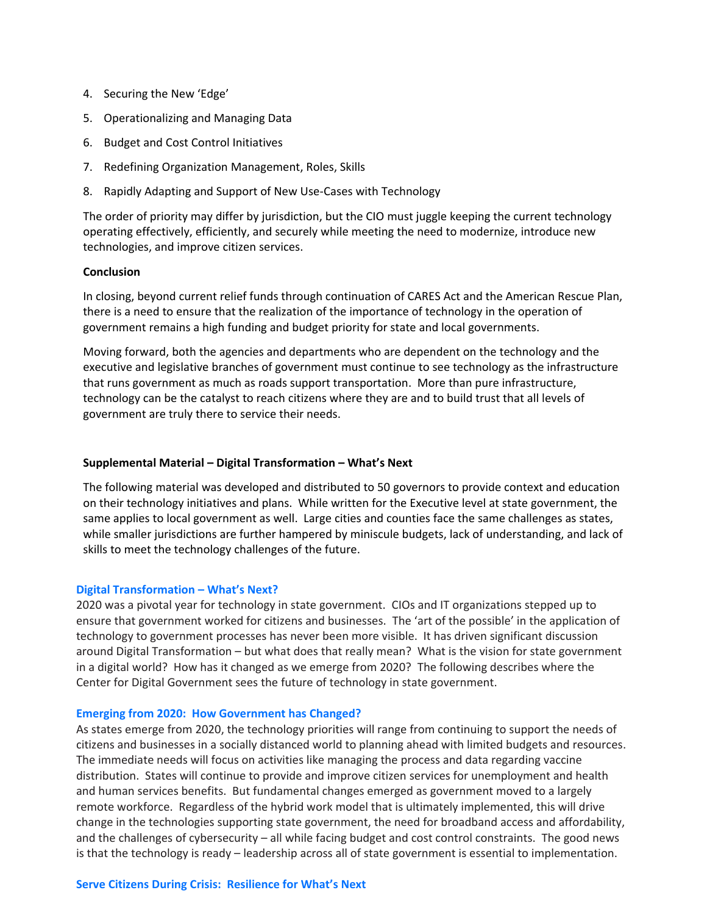- 4. Securing the New 'Edge'
- 5. Operationalizing and Managing Data
- 6. Budget and Cost Control Initiatives
- 7. Redefining Organization Management, Roles, Skills
- 8. Rapidly Adapting and Support of New Use-Cases with Technology

The order of priority may differ by jurisdiction, but the CIO must juggle keeping the current technology operating effectively, efficiently, and securely while meeting the need to modernize, introduce new technologies, and improve citizen services.

## **Conclusion**

In closing, beyond current relief funds through continuation of CARES Act and the American Rescue Plan, there is a need to ensure that the realization of the importance of technology in the operation of government remains a high funding and budget priority for state and local governments.

Moving forward, both the agencies and departments who are dependent on the technology and the executive and legislative branches of government must continue to see technology as the infrastructure that runs government as much as roads support transportation. More than pure infrastructure, technology can be the catalyst to reach citizens where they are and to build trust that all levels of government are truly there to service their needs.

## **Supplemental Material – Digital Transformation – What's Next**

The following material was developed and distributed to 50 governors to provide context and education on their technology initiatives and plans. While written for the Executive level at state government, the same applies to local government as well. Large cities and counties face the same challenges as states, while smaller jurisdictions are further hampered by miniscule budgets, lack of understanding, and lack of skills to meet the technology challenges of the future.

## **Digital Transformation – What's Next?**

2020 was a pivotal year for technology in state government. CIOs and IT organizations stepped up to ensure that government worked for citizens and businesses. The 'art of the possible' in the application of technology to government processes has never been more visible. It has driven significant discussion around Digital Transformation – but what does that really mean? What is the vision for state government in a digital world? How has it changed as we emerge from 2020? The following describes where the Center for Digital Government sees the future of technology in state government.

## **Emerging from 2020: How Government has Changed?**

As states emerge from 2020, the technology priorities will range from continuing to support the needs of citizens and businesses in a socially distanced world to planning ahead with limited budgets and resources. The immediate needs will focus on activities like managing the process and data regarding vaccine distribution. States will continue to provide and improve citizen services for unemployment and health and human services benefits. But fundamental changes emerged as government moved to a largely remote workforce. Regardless of the hybrid work model that is ultimately implemented, this will drive change in the technologies supporting state government, the need for broadband access and affordability, and the challenges of cybersecurity – all while facing budget and cost control constraints. The good news is that the technology is ready – leadership across all of state government is essential to implementation.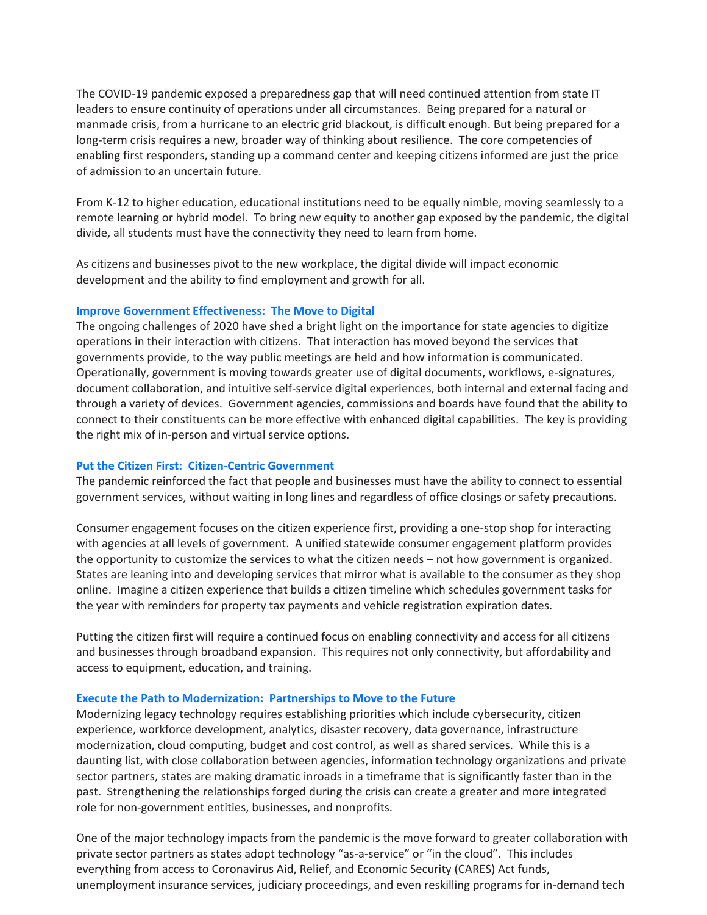The COVID-19 pandemic exposed a preparedness gap that will need continued attention from state IT leaders to ensure continuity of operations under all circumstances. Being prepared for a natural or manmade crisis, from a hurricane to an electric grid blackout, is difficult enough. But being prepared for a long-term crisis requires a new, broader way of thinking about resilience. The core competencies of enabling first responders, standing up a command center and keeping citizens informed are just the price of admission to an uncertain future.

From K-12 to higher education, educational institutions need to be equally nimble, moving seamlessly to a remote learning or hybrid model. To bring new equity to another gap exposed by the pandemic, the digital divide, all students must have the connectivity they need to learn from home.

As citizens and businesses pivot to the new workplace, the digital divide will impact economic development and the ability to find employment and growth for all.

## **Improve Government Effectiveness: The Move to Digital**

The ongoing challenges of 2020 have shed a bright light on the importance for state agencies to digitize operations in their interaction with citizens. That interaction has moved beyond the services that governments provide, to the way public meetings are held and how information is communicated. Operationally, government is moving towards greater use of digital documents, workflows, e-signatures, document collaboration, and intuitive self-service digital experiences, both internal and external facing and through a variety of devices. Government agencies, commissions and boards have found that the ability to connect to their constituents can be more effective with enhanced digital capabilities. The key is providing the right mix of in-person and virtual service options.

## **Put the Citizen First: Citizen-Centric Government**

The pandemic reinforced the fact that people and businesses must have the ability to connect to essential government services, without waiting in long lines and regardless of office closings or safety precautions.

Consumer engagement focuses on the citizen experience first, providing a one-stop shop for interacting with agencies at all levels of government. A unified statewide consumer engagement platform provides the opportunity to customize the services to what the citizen needs – not how government is organized. States are leaning into and developing services that mirror what is available to the consumer as they shop online. Imagine a citizen experience that builds a citizen timeline which schedules government tasks for the year with reminders for property tax payments and vehicle registration expiration dates.

Putting the citizen first will require a continued focus on enabling connectivity and access for all citizens and businesses through broadband expansion. This requires not only connectivity, but affordability and access to equipment, education, and training.

## **Execute the Path to Modernization: Partnerships to Move to the Future**

Modernizing legacy technology requires establishing priorities which include cybersecurity, citizen experience, workforce development, analytics, disaster recovery, data governance, infrastructure modernization, cloud computing, budget and cost control, as well as shared services. While this is a daunting list, with close collaboration between agencies, information technology organizations and private sector partners, states are making dramatic inroads in a timeframe that is significantly faster than in the past. Strengthening the relationships forged during the crisis can create a greater and more integrated role for non-government entities, businesses, and nonprofits.

One of the major technology impacts from the pandemic is the move forward to greater collaboration with private sector partners as states adopt technology "as-a-service" or "in the cloud". This includes everything from access to Coronavirus Aid, Relief, and Economic Security (CARES) Act funds, unemployment insurance services, judiciary proceedings, and even reskilling programs for in-demand tech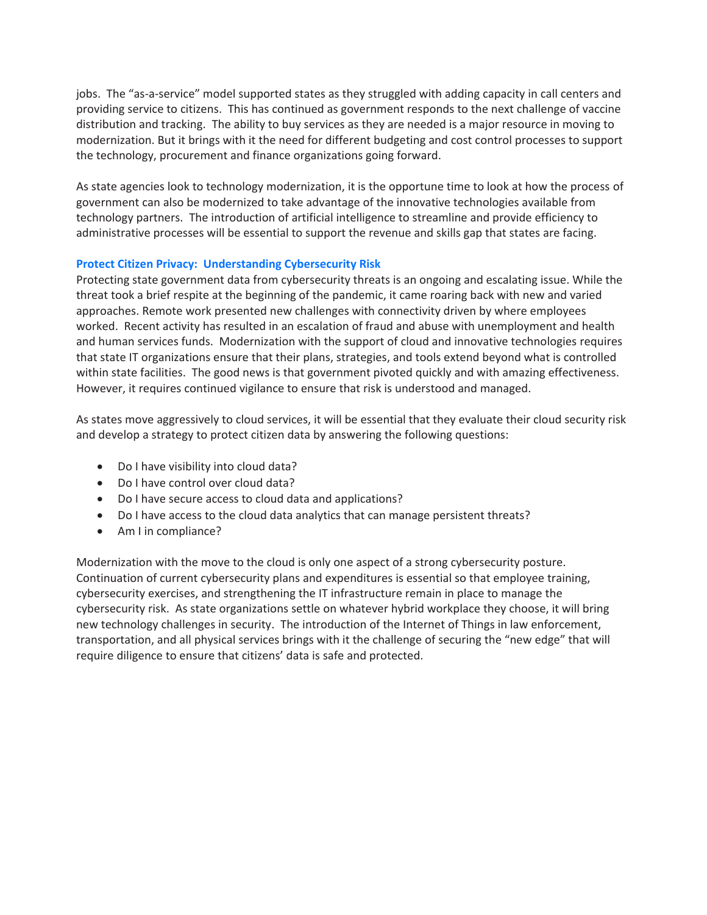jobs. The "as-a-service" model supported states as they struggled with adding capacity in call centers and providing service to citizens. This has continued as government responds to the next challenge of vaccine distribution and tracking. The ability to buy services as they are needed is a major resource in moving to modernization. But it brings with it the need for different budgeting and cost control processes to support the technology, procurement and finance organizations going forward.

As state agencies look to technology modernization, it is the opportune time to look at how the process of government can also be modernized to take advantage of the innovative technologies available from technology partners. The introduction of artificial intelligence to streamline and provide efficiency to administrative processes will be essential to support the revenue and skills gap that states are facing.

# **Protect Citizen Privacy: Understanding Cybersecurity Risk**

Protecting state government data from cybersecurity threats is an ongoing and escalating issue. While the threat took a brief respite at the beginning of the pandemic, it came roaring back with new and varied approaches. Remote work presented new challenges with connectivity driven by where employees worked. Recent activity has resulted in an escalation of fraud and abuse with unemployment and health and human services funds. Modernization with the support of cloud and innovative technologies requires that state IT organizations ensure that their plans, strategies, and tools extend beyond what is controlled within state facilities. The good news is that government pivoted quickly and with amazing effectiveness. However, it requires continued vigilance to ensure that risk is understood and managed.

As states move aggressively to cloud services, it will be essential that they evaluate their cloud security risk and develop a strategy to protect citizen data by answering the following questions:

- Do I have visibility into cloud data?
- Do I have control over cloud data?
- Do I have secure access to cloud data and applications?
- Do I have access to the cloud data analytics that can manage persistent threats?
- Am I in compliance?

Modernization with the move to the cloud is only one aspect of a strong cybersecurity posture. Continuation of current cybersecurity plans and expenditures is essential so that employee training, cybersecurity exercises, and strengthening the IT infrastructure remain in place to manage the cybersecurity risk. As state organizations settle on whatever hybrid workplace they choose, it will bring new technology challenges in security. The introduction of the Internet of Things in law enforcement, transportation, and all physical services brings with it the challenge of securing the "new edge" that will require diligence to ensure that citizens' data is safe and protected.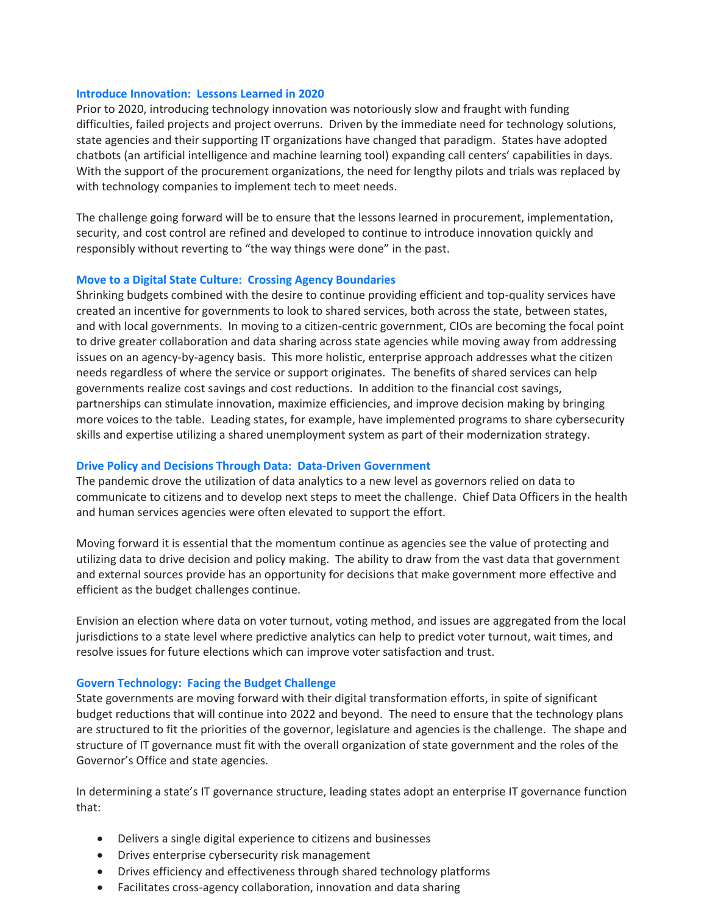#### **Introduce Innovation: Lessons Learned in 2020**

Prior to 2020, introducing technology innovation was notoriously slow and fraught with funding difficulties, failed projects and project overruns. Driven by the immediate need for technology solutions, state agencies and their supporting IT organizations have changed that paradigm. States have adopted chatbots (an artificial intelligence and machine learning tool) expanding call centers' capabilities in days. With the support of the procurement organizations, the need for lengthy pilots and trials was replaced by with technology companies to implement tech to meet needs.

The challenge going forward will be to ensure that the lessons learned in procurement, implementation, security, and cost control are refined and developed to continue to introduce innovation quickly and responsibly without reverting to "the way things were done" in the past.

#### **Move to a Digital State Culture: Crossing Agency Boundaries**

Shrinking budgets combined with the desire to continue providing efficient and top-quality services have created an incentive for governments to look to shared services, both across the state, between states, and with local governments. In moving to a citizen-centric government, CIOs are becoming the focal point to drive greater collaboration and data sharing across state agencies while moving away from addressing issues on an agency-by-agency basis. This more holistic, enterprise approach addresses what the citizen needs regardless of where the service or support originates. The benefits of shared services can help governments realize cost savings and cost reductions. In addition to the financial cost savings, partnerships can stimulate innovation, maximize efficiencies, and improve decision making by bringing more voices to the table. Leading states, for example, have implemented programs to share cybersecurity skills and expertise utilizing a shared unemployment system as part of their modernization strategy.

## **Drive Policy and Decisions Through Data: Data-Driven Government**

The pandemic drove the utilization of data analytics to a new level as governors relied on data to communicate to citizens and to develop next steps to meet the challenge. Chief Data Officers in the health and human services agencies were often elevated to support the effort.

Moving forward it is essential that the momentum continue as agencies see the value of protecting and utilizing data to drive decision and policy making. The ability to draw from the vast data that government and external sources provide has an opportunity for decisions that make government more effective and efficient as the budget challenges continue.

Envision an election where data on voter turnout, voting method, and issues are aggregated from the local jurisdictions to a state level where predictive analytics can help to predict voter turnout, wait times, and resolve issues for future elections which can improve voter satisfaction and trust.

## **Govern Technology: Facing the Budget Challenge**

State governments are moving forward with their digital transformation efforts, in spite of significant budget reductions that will continue into 2022 and beyond. The need to ensure that the technology plans are structured to fit the priorities of the governor, legislature and agencies is the challenge. The shape and structure of IT governance must fit with the overall organization of state government and the roles of the Governor's Office and state agencies.

In determining a state's IT governance structure, leading states adopt an enterprise IT governance function that:

- Delivers a single digital experience to citizens and businesses
- Drives enterprise cybersecurity risk management
- Drives efficiency and effectiveness through shared technology platforms
- Facilitates cross-agency collaboration, innovation and data sharing